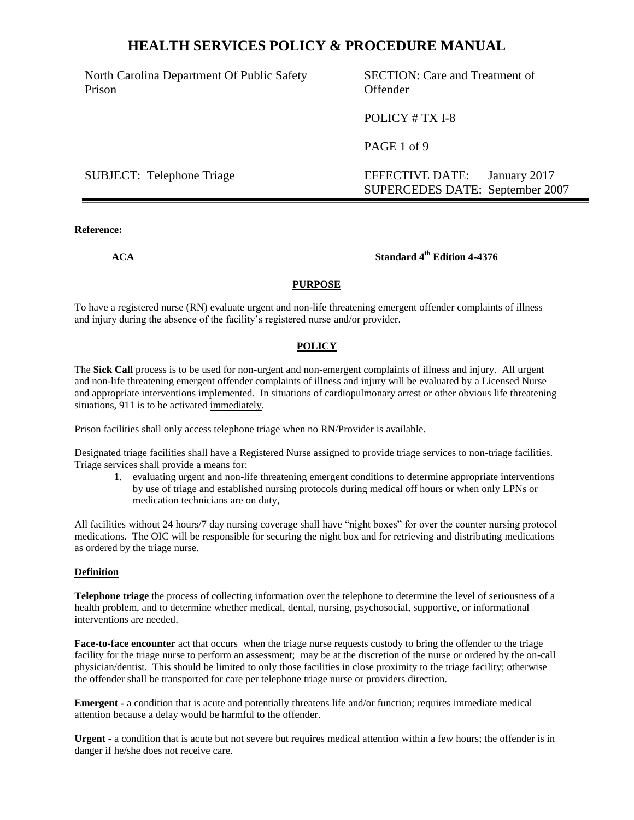North Carolina Department Of Public Safety Prison

SECTION: Care and Treatment of Offender

POLICY # TX I-8

PAGE 1 of 9

SUBJECT: Telephone Triage EFFECTIVE DATE: January 2017 SUPERCEDES DATE: September 2007

#### **Reference:**

## **ACA Standard 4th Edition 4-4376**

#### **PURPOSE**

To have a registered nurse (RN) evaluate urgent and non-life threatening emergent offender complaints of illness and injury during the absence of the facility's registered nurse and/or provider.

#### **POLICY**

The **Sick Call** process is to be used for non-urgent and non-emergent complaints of illness and injury. All urgent and non-life threatening emergent offender complaints of illness and injury will be evaluated by a Licensed Nurse and appropriate interventions implemented. In situations of cardiopulmonary arrest or other obvious life threatening situations, 911 is to be activated immediately.

Prison facilities shall only access telephone triage when no RN/Provider is available.

Designated triage facilities shall have a Registered Nurse assigned to provide triage services to non-triage facilities. Triage services shall provide a means for:

1. evaluating urgent and non-life threatening emergent conditions to determine appropriate interventions by use of triage and established nursing protocols during medical off hours or when only LPNs or medication technicians are on duty,

All facilities without 24 hours/7 day nursing coverage shall have "night boxes" for over the counter nursing protocol medications. The OIC will be responsible for securing the night box and for retrieving and distributing medications as ordered by the triage nurse.

#### **Definition**

**Telephone triage** the process of collecting information over the telephone to determine the level of seriousness of a health problem, and to determine whether medical, dental, nursing, psychosocial, supportive, or informational interventions are needed.

**Face-to-face encounter** act that occurs when the triage nurse requests custody to bring the offender to the triage facility for the triage nurse to perform an assessment; may be at the discretion of the nurse or ordered by the on-call physician/dentist. This should be limited to only those facilities in close proximity to the triage facility; otherwise the offender shall be transported for care per telephone triage nurse or providers direction.

**Emergent -** a condition that is acute and potentially threatens life and/or function; requires immediate medical attention because a delay would be harmful to the offender.

**Urgent -** a condition that is acute but not severe but requires medical attention within a few hours; the offender is in danger if he/she does not receive care.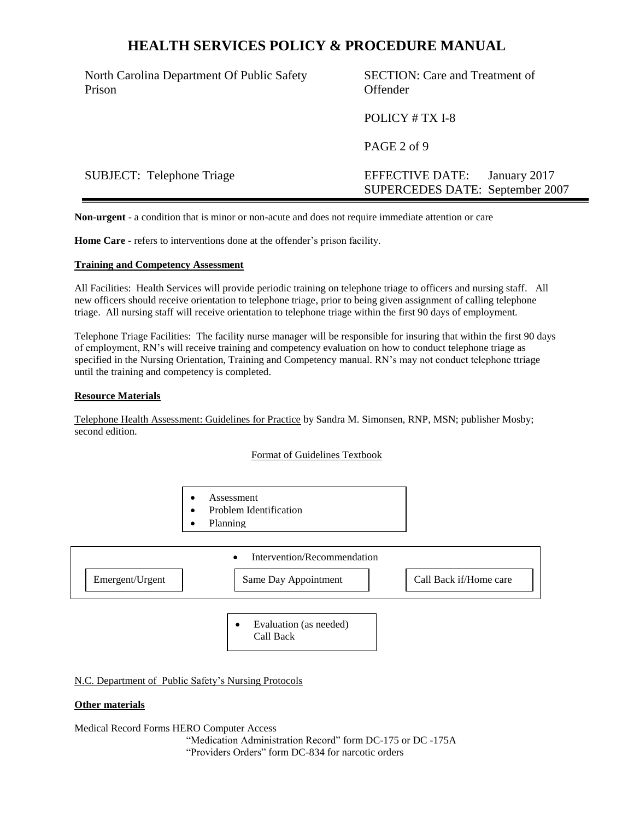North Carolina Department Of Public Safety Prison

SECTION: Care and Treatment of Offender

POLICY # TX I-8

PAGE 2 of 9

SUBJECT: Telephone Triage EFFECTIVE DATE: January 2017 SUPERCEDES DATE: September 2007

**Non-urgent** - a condition that is minor or non-acute and does not require immediate attention or care

**Home Care -** refers to interventions done at the offender's prison facility.

#### **Training and Competency Assessment**

All Facilities: Health Services will provide periodic training on telephone triage to officers and nursing staff. All new officers should receive orientation to telephone triage, prior to being given assignment of calling telephone triage. All nursing staff will receive orientation to telephone triage within the first 90 days of employment.

Telephone Triage Facilities: The facility nurse manager will be responsible for insuring that within the first 90 days of employment, RN's will receive training and competency evaluation on how to conduct telephone triage as specified in the Nursing Orientation, Training and Competency manual. RN's may not conduct telephone ttriage until the training and competency is completed.

#### **Resource Materials**

Telephone Health Assessment: Guidelines for Practice by Sandra M. Simonsen, RNP, MSN; publisher Mosby; second edition.

#### Format of Guidelines Textbook

- Assessment
- Problem Identification
- Planning



 Evaluation (as needed) Call Back

N.C. Department of Public Safety's Nursing Protocols

#### **Other materials**

Medical Record Forms HERO Computer Access

"Medication Administration Record" form DC-175 or DC -175A "Providers Orders" form DC-834 for narcotic orders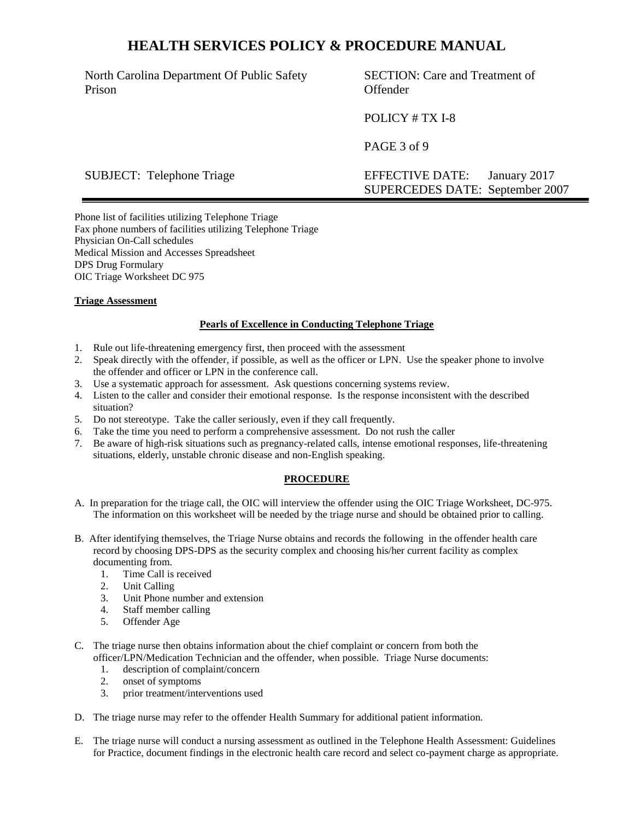North Carolina Department Of Public Safety Prison

SECTION: Care and Treatment of Offender

POLICY # TX I-8

PAGE 3 of 9

SUBJECT: Telephone Triage EFFECTIVE DATE: January 2017 SUPERCEDES DATE: September 2007

Phone list of facilities utilizing Telephone Triage Fax phone numbers of facilities utilizing Telephone Triage Physician On-Call schedules Medical Mission and Accesses Spreadsheet DPS Drug Formulary OIC Triage Worksheet DC 975

### **Triage Assessment**

### **Pearls of Excellence in Conducting Telephone Triage**

- 1. Rule out life-threatening emergency first, then proceed with the assessment
- 2. Speak directly with the offender, if possible, as well as the officer or LPN. Use the speaker phone to involve the offender and officer or LPN in the conference call.
- 3. Use a systematic approach for assessment. Ask questions concerning systems review.
- 4. Listen to the caller and consider their emotional response. Is the response inconsistent with the described situation?
- 5. Do not stereotype. Take the caller seriously, even if they call frequently.
- 6. Take the time you need to perform a comprehensive assessment. Do not rush the caller
- 7. Be aware of high-risk situations such as pregnancy-related calls, intense emotional responses, life-threatening situations, elderly, unstable chronic disease and non-English speaking.

#### **PROCEDURE**

- A. In preparation for the triage call, the OIC will interview the offender using the OIC Triage Worksheet, DC-975. The information on this worksheet will be needed by the triage nurse and should be obtained prior to calling.
- B. After identifying themselves, the Triage Nurse obtains and records the following in the offender health care record by choosing DPS-DPS as the security complex and choosing his/her current facility as complex documenting from.
	- 1. Time Call is received
	- 2. Unit Calling
	- 3. Unit Phone number and extension
	- 4. Staff member calling
	- 5. Offender Age
- C. The triage nurse then obtains information about the chief complaint or concern from both the officer/LPN/Medication Technician and the offender, when possible. Triage Nurse documents:
	- 1. description of complaint/concern
	- 2. onset of symptoms
	- 3. prior treatment/interventions used
- D. The triage nurse may refer to the offender Health Summary for additional patient information.
- E. The triage nurse will conduct a nursing assessment as outlined in the Telephone Health Assessment: Guidelines for Practice, document findings in the electronic health care record and select co-payment charge as appropriate.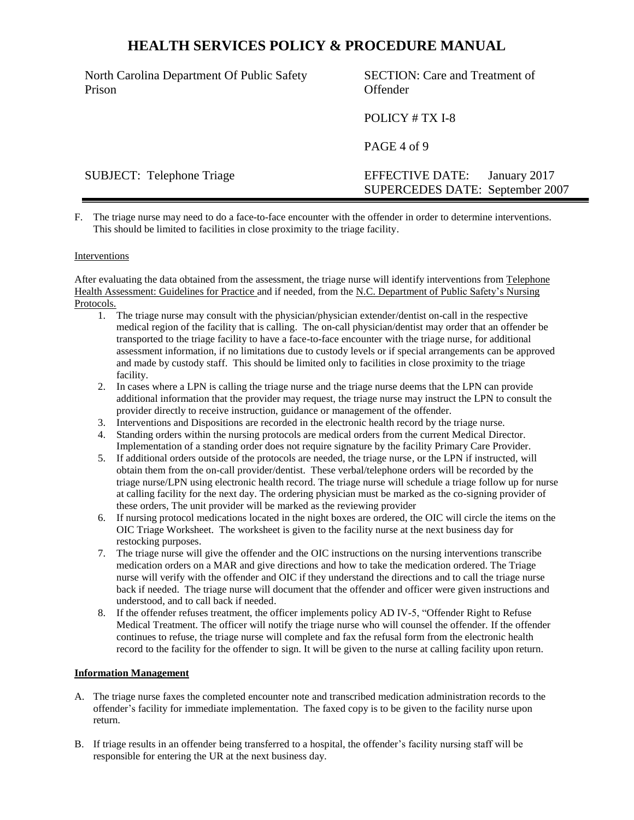North Carolina Department Of Public Safety Prison

SECTION: Care and Treatment of Offender

POLICY # TX I-8

PAGE 4 of 9

SUBJECT: Telephone Triage EFFECTIVE DATE: January 2017 SUPERCEDES DATE: September 2007

F. The triage nurse may need to do a face-to-face encounter with the offender in order to determine interventions. This should be limited to facilities in close proximity to the triage facility.

#### Interventions

After evaluating the data obtained from the assessment, the triage nurse will identify interventions from Telephone Health Assessment: Guidelines for Practice and if needed, from the N.C. Department of Public Safety's Nursing Protocols.

- 1. The triage nurse may consult with the physician/physician extender/dentist on-call in the respective medical region of the facility that is calling. The on-call physician/dentist may order that an offender be transported to the triage facility to have a face-to-face encounter with the triage nurse, for additional assessment information, if no limitations due to custody levels or if special arrangements can be approved and made by custody staff. This should be limited only to facilities in close proximity to the triage facility.
- 2. In cases where a LPN is calling the triage nurse and the triage nurse deems that the LPN can provide additional information that the provider may request, the triage nurse may instruct the LPN to consult the provider directly to receive instruction, guidance or management of the offender.
- 3. Interventions and Dispositions are recorded in the electronic health record by the triage nurse.
- 4. Standing orders within the nursing protocols are medical orders from the current Medical Director. Implementation of a standing order does not require signature by the facility Primary Care Provider.
- 5. If additional orders outside of the protocols are needed, the triage nurse, or the LPN if instructed, will obtain them from the on-call provider/dentist. These verbal/telephone orders will be recorded by the triage nurse/LPN using electronic health record. The triage nurse will schedule a triage follow up for nurse at calling facility for the next day. The ordering physician must be marked as the co-signing provider of these orders, The unit provider will be marked as the reviewing provider
- 6. If nursing protocol medications located in the night boxes are ordered, the OIC will circle the items on the OIC Triage Worksheet. The worksheet is given to the facility nurse at the next business day for restocking purposes.
- 7. The triage nurse will give the offender and the OIC instructions on the nursing interventions transcribe medication orders on a MAR and give directions and how to take the medication ordered. The Triage nurse will verify with the offender and OIC if they understand the directions and to call the triage nurse back if needed. The triage nurse will document that the offender and officer were given instructions and understood, and to call back if needed.
- 8. If the offender refuses treatment, the officer implements policy AD IV-5, "Offender Right to Refuse Medical Treatment. The officer will notify the triage nurse who will counsel the offender. If the offender continues to refuse, the triage nurse will complete and fax the refusal form from the electronic health record to the facility for the offender to sign. It will be given to the nurse at calling facility upon return.

#### **Information Management**

- A. The triage nurse faxes the completed encounter note and transcribed medication administration records to the offender's facility for immediate implementation. The faxed copy is to be given to the facility nurse upon return.
- B. If triage results in an offender being transferred to a hospital, the offender's facility nursing staff will be responsible for entering the UR at the next business day.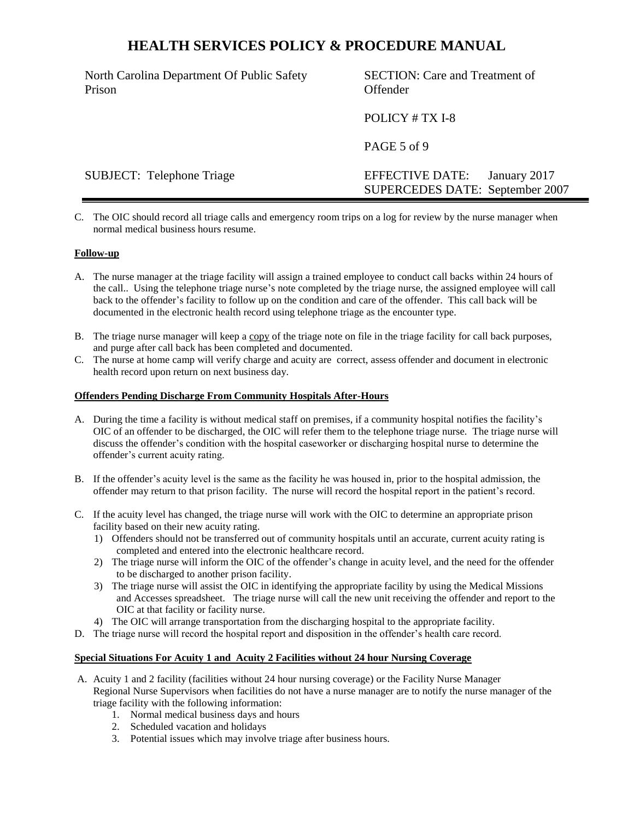North Carolina Department Of Public Safety Prison

SECTION: Care and Treatment of Offender

POLICY # TX I-8

PAGE 5 of 9

SUBJECT: Telephone Triage EFFECTIVE DATE: January 2017 SUPERCEDES DATE: September 2007

C. The OIC should record all triage calls and emergency room trips on a log for review by the nurse manager when normal medical business hours resume.

### **Follow-up**

- A. The nurse manager at the triage facility will assign a trained employee to conduct call backs within 24 hours of the call.. Using the telephone triage nurse's note completed by the triage nurse, the assigned employee will call back to the offender's facility to follow up on the condition and care of the offender. This call back will be documented in the electronic health record using telephone triage as the encounter type.
- B. The triage nurse manager will keep a copy of the triage note on file in the triage facility for call back purposes, and purge after call back has been completed and documented.
- C. The nurse at home camp will verify charge and acuity are correct, assess offender and document in electronic health record upon return on next business day.

#### **Offenders Pending Discharge From Community Hospitals After-Hours**

- A. During the time a facility is without medical staff on premises, if a community hospital notifies the facility's OIC of an offender to be discharged, the OIC will refer them to the telephone triage nurse. The triage nurse will discuss the offender's condition with the hospital caseworker or discharging hospital nurse to determine the offender's current acuity rating.
- B. If the offender's acuity level is the same as the facility he was housed in, prior to the hospital admission, the offender may return to that prison facility. The nurse will record the hospital report in the patient's record.
- C. If the acuity level has changed, the triage nurse will work with the OIC to determine an appropriate prison facility based on their new acuity rating.
	- 1) Offenders should not be transferred out of community hospitals until an accurate, current acuity rating is completed and entered into the electronic healthcare record.
	- 2) The triage nurse will inform the OIC of the offender's change in acuity level, and the need for the offender to be discharged to another prison facility.
	- 3) The triage nurse will assist the OIC in identifying the appropriate facility by using the Medical Missions and Accesses spreadsheet. The triage nurse will call the new unit receiving the offender and report to the OIC at that facility or facility nurse.
	- 4) The OIC will arrange transportation from the discharging hospital to the appropriate facility.
- D. The triage nurse will record the hospital report and disposition in the offender's health care record.

#### **Special Situations For Acuity 1 and Acuity 2 Facilities without 24 hour Nursing Coverage**

- A. Acuity 1 and 2 facility (facilities without 24 hour nursing coverage) or the Facility Nurse Manager Regional Nurse Supervisors when facilities do not have a nurse manager are to notify the nurse manager of the triage facility with the following information:
	- 1. Normal medical business days and hours
	- 2. Scheduled vacation and holidays
	- 3. Potential issues which may involve triage after business hours.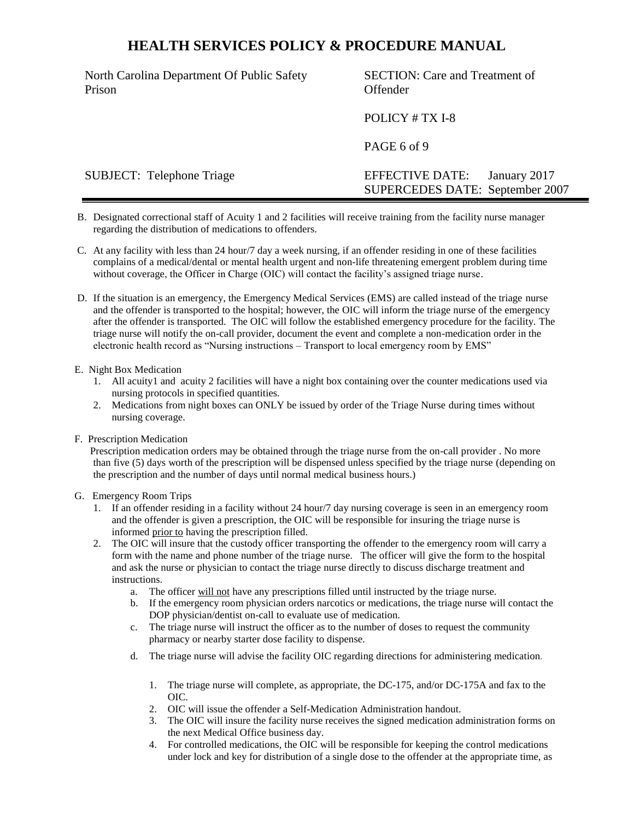North Carolina Department Of Public Safety Prison

SECTION: Care and Treatment of Offender

POLICY # TX I-8

PAGE 6 of 9

SUBJECT: Telephone Triage EFFECTIVE DATE: January 2017 SUPERCEDES DATE: September 2007

- B. Designated correctional staff of Acuity 1 and 2 facilities will receive training from the facility nurse manager regarding the distribution of medications to offenders.
- C. At any facility with less than 24 hour/7 day a week nursing, if an offender residing in one of these facilities complains of a medical/dental or mental health urgent and non-life threatening emergent problem during time without coverage, the Officer in Charge (OIC) will contact the facility's assigned triage nurse.
- D. If the situation is an emergency, the Emergency Medical Services (EMS) are called instead of the triage nurse and the offender is transported to the hospital; however, the OIC will inform the triage nurse of the emergency after the offender is transported. The OIC will follow the established emergency procedure for the facility. The triage nurse will notify the on-call provider, document the event and complete a non-medication order in the electronic health record as "Nursing instructions – Transport to local emergency room by EMS"

#### E. Night Box Medication

- 1. All acuity1 and acuity 2 facilities will have a night box containing over the counter medications used via nursing protocols in specified quantities.
- 2. Medications from night boxes can ONLY be issued by order of the Triage Nurse during times without nursing coverage.
- F. Prescription Medication

 Prescription medication orders may be obtained through the triage nurse from the on-call provider . No more than five (5) days worth of the prescription will be dispensed unless specified by the triage nurse (depending on the prescription and the number of days until normal medical business hours.)

#### G. Emergency Room Trips

- 1. If an offender residing in a facility without 24 hour/7 day nursing coverage is seen in an emergency room and the offender is given a prescription, the OIC will be responsible for insuring the triage nurse is informed prior to having the prescription filled.
- 2. The OIC will insure that the custody officer transporting the offender to the emergency room will carry a form with the name and phone number of the triage nurse. The officer will give the form to the hospital and ask the nurse or physician to contact the triage nurse directly to discuss discharge treatment and instructions.
	- a. The officer will not have any prescriptions filled until instructed by the triage nurse.
	- b. If the emergency room physician orders narcotics or medications, the triage nurse will contact the DOP physician/dentist on-call to evaluate use of medication.
	- c. The triage nurse will instruct the officer as to the number of doses to request the community pharmacy or nearby starter dose facility to dispense.
	- d. The triage nurse will advise the facility OIC regarding directions for administering medication.
		- 1. The triage nurse will complete, as appropriate, the DC-175, and/or DC-175A and fax to the OIC.
		- 2. OIC will issue the offender a Self-Medication Administration handout.
		- 3. The OIC will insure the facility nurse receives the signed medication administration forms on the next Medical Office business day.
		- 4. For controlled medications, the OIC will be responsible for keeping the control medications under lock and key for distribution of a single dose to the offender at the appropriate time, as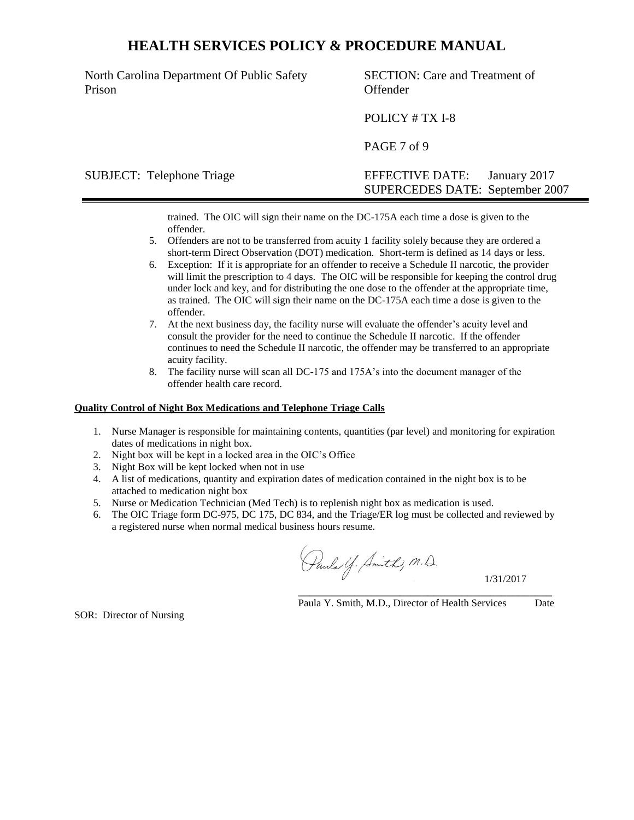North Carolina Department Of Public Safety Prison

SECTION: Care and Treatment of Offender

POLICY # TX I-8

PAGE 7 of 9

## SUBJECT: Telephone Triage EFFECTIVE DATE: January 2017 SUPERCEDES DATE: September 2007

trained. The OIC will sign their name on the DC-175A each time a dose is given to the offender.

- 5. Offenders are not to be transferred from acuity 1 facility solely because they are ordered a short-term Direct Observation (DOT) medication. Short-term is defined as 14 days or less.
- 6. Exception: If it is appropriate for an offender to receive a Schedule II narcotic, the provider will limit the prescription to 4 days. The OIC will be responsible for keeping the control drug under lock and key, and for distributing the one dose to the offender at the appropriate time, as trained. The OIC will sign their name on the DC-175A each time a dose is given to the offender.
- 7. At the next business day, the facility nurse will evaluate the offender's acuity level and consult the provider for the need to continue the Schedule II narcotic. If the offender continues to need the Schedule II narcotic, the offender may be transferred to an appropriate acuity facility.
- 8. The facility nurse will scan all DC-175 and 175A's into the document manager of the offender health care record.

#### **Quality Control of Night Box Medications and Telephone Triage Calls**

- 1. Nurse Manager is responsible for maintaining contents, quantities (par level) and monitoring for expiration dates of medications in night box.
- 2. Night box will be kept in a locked area in the OIC's Office
- 3. Night Box will be kept locked when not in use
- 4. A list of medications, quantity and expiration dates of medication contained in the night box is to be attached to medication night box
- 5. Nurse or Medication Technician (Med Tech) is to replenish night box as medication is used.
- 6. The OIC Triage form DC-975, DC 175, DC 834, and the Triage/ER log must be collected and reviewed by a registered nurse when normal medical business hours resume.

Pauls Y. Smith, M.D.

1/31/2017

\_\_\_\_\_\_\_\_\_\_\_\_\_\_\_\_\_\_\_\_\_\_\_\_\_\_\_\_\_\_\_\_\_\_\_\_\_\_\_\_\_\_\_\_\_ Paula Y. Smith, M.D., Director of Health Services Date

SOR: Director of Nursing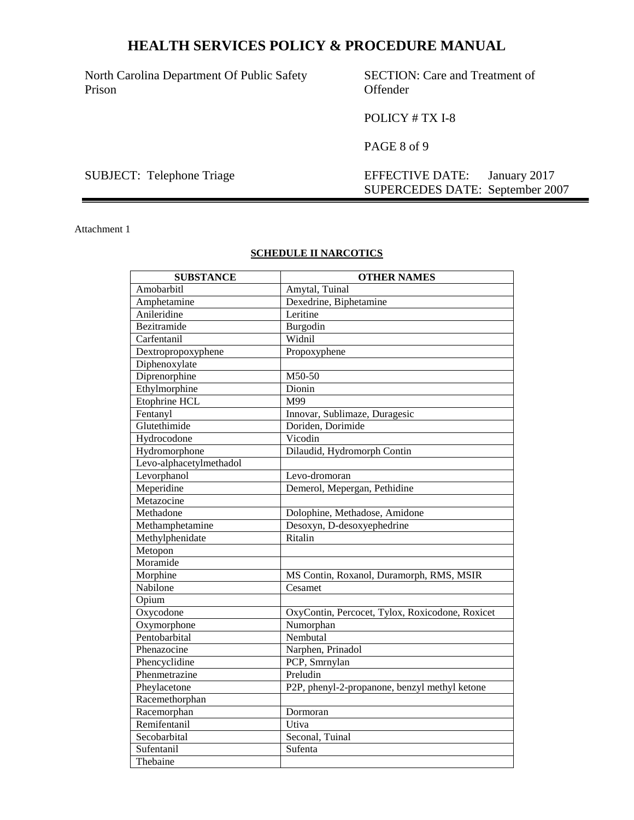North Carolina Department Of Public Safety Prison

SECTION: Care and Treatment of Offender

POLICY # TX I-8

PAGE 8 of 9

SUBJECT: Telephone Triage EFFECTIVE DATE: January 2017 SUPERCEDES DATE: September 2007

Attachment 1

## **SCHEDULE II NARCOTICS**

| <b>SUBSTANCE</b>        | <b>OTHER NAMES</b>                              |  |  |  |  |  |  |
|-------------------------|-------------------------------------------------|--|--|--|--|--|--|
| Amobarbitl              | Amytal, Tuinal                                  |  |  |  |  |  |  |
| Amphetamine             | Dexedrine, Biphetamine                          |  |  |  |  |  |  |
| Anileridine             | Leritine                                        |  |  |  |  |  |  |
| Bezitramide             | Burgodin                                        |  |  |  |  |  |  |
| Carfentanil             | Widnil                                          |  |  |  |  |  |  |
| Dextropropoxyphene      | Propoxyphene                                    |  |  |  |  |  |  |
| Diphenoxylate           |                                                 |  |  |  |  |  |  |
| Diprenorphine           | M50-50                                          |  |  |  |  |  |  |
| Ethylmorphine           | Dionin                                          |  |  |  |  |  |  |
| Etophrine HCL           | M99                                             |  |  |  |  |  |  |
| Fentanyl                | Innovar, Sublimaze, Duragesic                   |  |  |  |  |  |  |
| Glutethimide            | Doriden, Dorimide                               |  |  |  |  |  |  |
| Hydrocodone             | Vicodin                                         |  |  |  |  |  |  |
| Hydromorphone           | Dilaudid, Hydromorph Contin                     |  |  |  |  |  |  |
| Levo-alphacetylmethadol |                                                 |  |  |  |  |  |  |
| Levorphanol             | Levo-dromoran                                   |  |  |  |  |  |  |
| Meperidine              | Demerol, Mepergan, Pethidine                    |  |  |  |  |  |  |
| Metazocine              |                                                 |  |  |  |  |  |  |
| Methadone               | Dolophine, Methadose, Amidone                   |  |  |  |  |  |  |
| Methamphetamine         | Desoxyn, D-desoxyephedrine                      |  |  |  |  |  |  |
| Methylphenidate         | Ritalin                                         |  |  |  |  |  |  |
| Metopon                 |                                                 |  |  |  |  |  |  |
| Moramide                |                                                 |  |  |  |  |  |  |
| Morphine                | MS Contin, Roxanol, Duramorph, RMS, MSIR        |  |  |  |  |  |  |
| Nabilone                | Cesamet                                         |  |  |  |  |  |  |
| Opium                   |                                                 |  |  |  |  |  |  |
| Oxycodone               | OxyContin, Percocet, Tylox, Roxicodone, Roxicet |  |  |  |  |  |  |
| Oxymorphone             | Numorphan                                       |  |  |  |  |  |  |
| Pentobarbital           | Nembutal                                        |  |  |  |  |  |  |
| Phenazocine             | Narphen, Prinadol                               |  |  |  |  |  |  |
| Phencyclidine           | PCP, Smrnylan                                   |  |  |  |  |  |  |
| Phenmetrazine           | Preludin                                        |  |  |  |  |  |  |
| Pheylacetone            | P2P, phenyl-2-propanone, benzyl methyl ketone   |  |  |  |  |  |  |
| Racemethorphan          |                                                 |  |  |  |  |  |  |
| Racemorphan             | Dormoran                                        |  |  |  |  |  |  |
| Remifentanil            | Utiva                                           |  |  |  |  |  |  |
| Secobarbital            | Seconal, Tuinal                                 |  |  |  |  |  |  |
| Sufentanil              | Sufenta                                         |  |  |  |  |  |  |
| Thebaine                |                                                 |  |  |  |  |  |  |